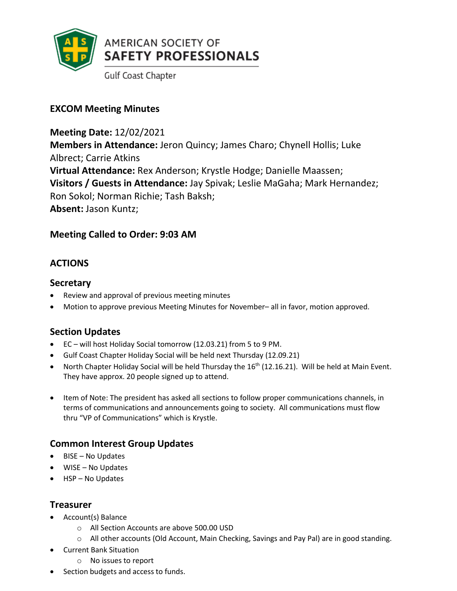

# **EXCOM Meeting Minutes**

**Meeting Date:** 12/02/2021 **Members in Attendance:** Jeron Quincy; James Charo; Chynell Hollis; Luke Albrect; Carrie Atkins **Virtual Attendance:** Rex Anderson; Krystle Hodge; Danielle Maassen; **Visitors / Guests in Attendance:** Jay Spivak; Leslie MaGaha; Mark Hernandez; Ron Sokol; Norman Richie; Tash Baksh; **Absent:** Jason Kuntz;

# **Meeting Called to Order: 9:03 AM**

# **ACTIONS**

#### **Secretary**

- Review and approval of previous meeting minutes
- Motion to approve previous Meeting Minutes for November– all in favor, motion approved.

# **Section Updates**

- EC will host Holiday Social tomorrow (12.03.21) from 5 to 9 PM.
- Gulf Coast Chapter Holiday Social will be held next Thursday (12.09.21)
- North Chapter Holiday Social will be held Thursday the 16<sup>th</sup> (12.16.21). Will be held at Main Event. They have approx. 20 people signed up to attend.
- Item of Note: The president has asked all sections to follow proper communications channels, in terms of communications and announcements going to society. All communications must flow thru "VP of Communications" which is Krystle.

# **Common Interest Group Updates**

- BISE No Updates
- WISE No Updates
- HSP No Updates

#### **Treasurer**

- Account(s) Balance
	- o All Section Accounts are above 500.00 USD
	- o All other accounts (Old Account, Main Checking, Savings and Pay Pal) are in good standing.
- Current Bank Situation
	- o No issues to report
- Section budgets and access to funds.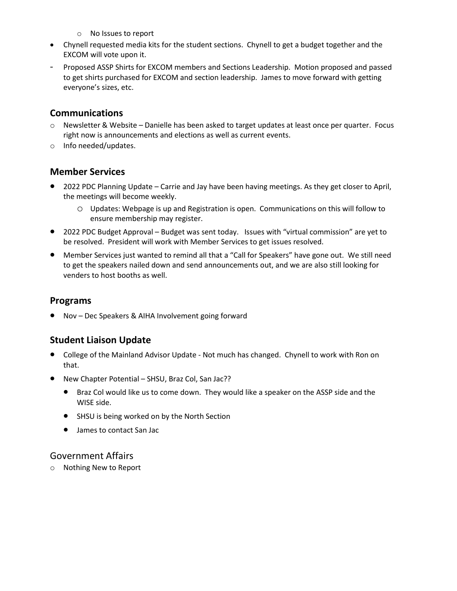- o No Issues to report
- Chynell requested media kits for the student sections. Chynell to get a budget together and the EXCOM will vote upon it.
- Proposed ASSP Shirts for EXCOM members and Sections Leadership. Motion proposed and passed to get shirts purchased for EXCOM and section leadership. James to move forward with getting everyone's sizes, etc.

### **Communications**

- o Newsletter & Website Danielle has been asked to target updates at least once per quarter. Focus right now is announcements and elections as well as current events.
- o Info needed/updates.

# **Member Services**

- 2022 PDC Planning Update Carrie and Jay have been having meetings. As they get closer to April, the meetings will become weekly.
	- o Updates: Webpage is up and Registration is open. Communications on this will follow to ensure membership may register.
- 2022 PDC Budget Approval Budget was sent today. Issues with "virtual commission" are yet to be resolved. President will work with Member Services to get issues resolved.
- Member Services just wanted to remind all that a "Call for Speakers" have gone out. We still need to get the speakers nailed down and send announcements out, and we are also still looking for venders to host booths as well.

### **Programs**

• Nov – Dec Speakers & AIHA Involvement going forward

# **Student Liaison Update**

- College of the Mainland Advisor Update Not much has changed. Chynell to work with Ron on that.
- New Chapter Potential SHSU, Braz Col, San Jac??
	- Braz Col would like us to come down. They would like a speaker on the ASSP side and the WISE side.
	- SHSU is being worked on by the North Section
	- James to contact San Jac

# Government Affairs

o Nothing New to Report